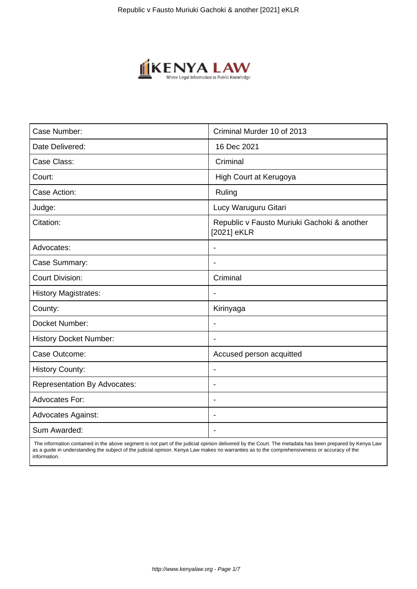

| Case Number:                        | Criminal Murder 10 of 2013                                 |
|-------------------------------------|------------------------------------------------------------|
| Date Delivered:                     | 16 Dec 2021                                                |
| Case Class:                         | Criminal                                                   |
| Court:                              | High Court at Kerugoya                                     |
| Case Action:                        | Ruling                                                     |
| Judge:                              | Lucy Waruguru Gitari                                       |
| Citation:                           | Republic v Fausto Muriuki Gachoki & another<br>[2021] eKLR |
| Advocates:                          |                                                            |
| Case Summary:                       |                                                            |
| <b>Court Division:</b>              | Criminal                                                   |
| <b>History Magistrates:</b>         | $\overline{\phantom{a}}$                                   |
| County:                             | Kirinyaga                                                  |
| Docket Number:                      |                                                            |
| <b>History Docket Number:</b>       |                                                            |
| Case Outcome:                       | Accused person acquitted                                   |
| <b>History County:</b>              | $\blacksquare$                                             |
| <b>Representation By Advocates:</b> | $\overline{\phantom{0}}$                                   |
| Advocates For:                      | $\overline{\phantom{0}}$                                   |
| <b>Advocates Against:</b>           |                                                            |
| Sum Awarded:                        |                                                            |

 The information contained in the above segment is not part of the judicial opinion delivered by the Court. The metadata has been prepared by Kenya Law as a guide in understanding the subject of the judicial opinion. Kenya Law makes no warranties as to the comprehensiveness or accuracy of the information.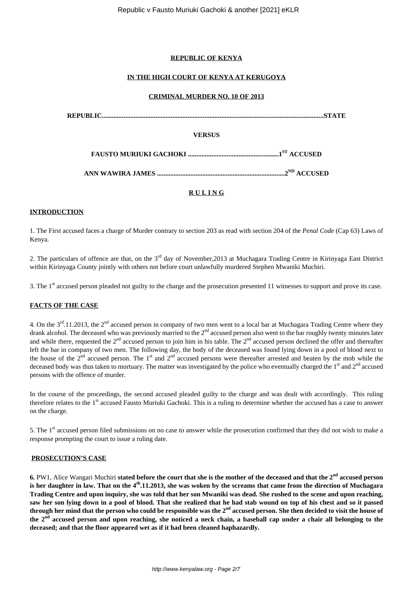## **REPUBLIC OF KENYA**

## **IN THE HIGH COURT OF KENYA AT KERUGOYA**

#### **CRIMINAL MURDER NO. 10 OF 2013**

|               | <b>STATE</b>            |
|---------------|-------------------------|
| <b>VERSUS</b> |                         |
|               |                         |
|               | 2 <sup>ND</sup> ACCUSED |
| <b>RULING</b> |                         |

#### **INTRODUCTION**

1. The First accused faces a charge of Murder contrary to section 203 as read with section 204 of the *Penal Code* (Cap 63) Laws of Kenya.

2. The particulars of offence are that, on the 3<sup>rd</sup> day of November, 2013 at Muchagara Trading Centre in Kirinyaga East District within Kirinyaga County jointly with others not before court unlawfully murdered Stephen Mwaniki Muchiri.

3. The 1st accused person pleaded not guilty to the charge and the prosecution presented 11 witnesses to support and prove its case.

#### **FACTS OF THE CASE**

4. On the  $3^{rd}$ .11.2013, the  $2^{nd}$  accused person in company of two men went to a local bar at Muchagara Trading Centre where they drank alcohol. The deceased who was previously married to the 2<sup>nd</sup> accused person also went to the bar roughly twenty minutes later and while there, requested the  $2^{nd}$  accused person to join him in his table. The  $2^{nd}$  accused person declined the offer and thereafter left the bar in company of two men. The following day, the body of the deceased was found lying down in a pool of blood next to the house of the  $2<sup>nd</sup>$  accused person. The 1<sup>st</sup> and  $2<sup>nd</sup>$  accused persons were thereafter arrested and beaten by the mob while the deceased body was thus taken to mortuary. The matter was investigated by the police who eventually charged the  $1<sup>st</sup>$  and  $2<sup>nd</sup>$  accused persons with the offence of murder.

In the course of the proceedings, the second accused pleaded guilty to the charge and was dealt with accordingly. This ruling therefore relates to the 1<sup>st</sup> accused Fausto Muriuki Gachoki. This is a ruling to determine whether the accused has a case to answer on the charge.

5. The 1<sup>st</sup> accused person filed submissions on no case to answer while the prosecution confirmed that they did not wish to make a response prompting the court to issue a ruling date.

#### **PROSECUTION'S CASE**

**6.** PW1, Alice Wangari Muchiri **stated before the court that she is the mother of the deceased and that the 2nd accused person is her daughter in law. That on the 4th.11.2013, she was woken by the screams that came from the direction of Muchagara Trading Centre and upon inquiry, she was told that her son Mwaniki was dead. She rushed to the scene and upon reaching, saw her son lying down in a pool of blood. That she realized that he had stab wound on top of his chest and so it passed through her mind that the person who could be responsible was the 2nd accused person. She then decided to visit the house of** the 2<sup>nd</sup> accused person and upon reaching, she noticed a neck chain, a baseball cap under a chair all belonging to the **deceased; and that the floor appeared wet as if it had been cleaned haphazardly.**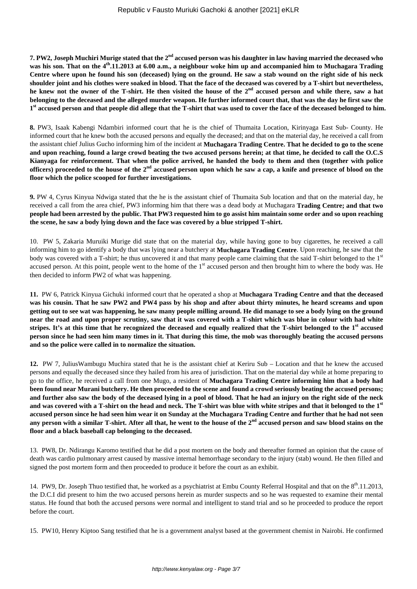**7. PW2, Joseph Muchiri Murige stated that the 2nd accused person was his daughter in law having married the deceased who was his son. That on the 4th.11.2013 at 6.00 a.m., a neighbour woke him up and accompanied him to Muchagara Trading Centre where upon he found his son (deceased) lying on the ground. He saw a stab wound on the right side of his neck shoulder joint and his clothes were soaked in blood. That the face of the deceased was covered by a T-shirt but nevertheless, he knew not the owner of the T-shirt. He then visited the house of the 2nd accused person and while there, saw a hat belonging to the deceased and the alleged murder weapon. He further informed court that, that was the day he first saw the 1 st accused person and that people did allege that the T-shirt that was used to cover the face of the deceased belonged to him.**

**8.** PW3, Isaak Kabengi Ndambiri informed court that he is the chief of Thumaita Location, Kirinyaga East Sub- County. He informed court that he knew both the accused persons and equally the deceased; and that on the material day, he received a call from the assistant chief Julius Gucho informing him of the incident at **Muchagara Trading Centre. That he decided to go to the scene and upon reaching, found a large crowd beating the two accused persons herein; at that time, he decided to call the O.C.S Kianyaga for reinforcement. That when the police arrived, he handed the body to them and then (together with police officers) proceeded to the house of the 2nd accused person upon which he saw a cap, a knife and presence of blood on the floor which the police scooped for further investigations.**

**9.** PW 4, Cyrus Kinyua Ndwiga stated that the he is the assistant chief of Thumaita Sub location and that on the material day, he received a call from the area chief, PW3 informing him that there was a dead body at Muchagara **Trading Centre; and that two people had been arrested by the public. That PW3 requested him to go assist him maintain some order and so upon reaching the scene, he saw a body lying down and the face was covered by a blue stripped T-shirt.**

10. PW 5, Zakaria Muruiki Murige did state that on the material day, while having gone to buy cigarettes, he received a call informing him to go identify a body that was lying near a butchery at **Muchagara Trading Centre**. Upon reaching, he saw that the body was covered with a T-shirt; he thus uncovered it and that many people came claiming that the said T-shirt belonged to the 1st accused person. At this point, people went to the home of the 1<sup>st</sup> accused person and then brought him to where the body was. He then decided to inform PW2 of what was happening.

**11.** PW 6, Patrick Kinyua Gichuki informed court that he operated a shop at **Muchagara Trading Centre and that the deceased was his cousin. That he saw PW2 and PW4 pass by his shop and after about thirty minutes, he heard screams and upon getting out to see wat was happening, he saw many people milling around. He did manage to see a body lying on the ground near the road and upon proper scrutiny, saw that it was covered with a T-shirt which was blue in colour with had white stripes. It's at this time that he recognized the deceased and equally realized that the T-shirt belonged to the 1st accused person since he had seen him many times in it. That during this time, the mob was thoroughly beating the accused persons and so the police were called in to normalize the situation.**

**12.** PW 7, JuliusWambugu Muchira stated that he is the assistant chief at Keriru Sub – Location and that he knew the accused persons and equally the deceased since they hailed from his area of jurisdiction. That on the material day while at home preparing to go to the office, he received a call from one Mugo, a resident of **Muchagara Trading Centre informing him that a body had been found near Murani butchery. He then proceeded to the scene and found a crowd seriously beating the accused persons; and further also saw the body of the deceased lying in a pool of blood. That he had an injury on the right side of the neck and was covered with a T-shirt on the head and neck. The T-shirt was blue with white stripes and that it belonged to the 1st accused person since he had seen him wear it on Sunday at the Muchagara Trading Centre and further that he had not seen any person with a similar T-shirt. After all that, he went to the house of the 2nd accused person and saw blood stains on the floor and a black baseball cap belonging to the deceased.**

13. PW8, Dr. Ndirangu Karomo testified that he did a post mortem on the body and thereafter formed an opinion that the cause of death was cardio pulmonary arrest caused by massive internal hemorrhage secondary to the injury (stab) wound. He then filled and signed the post mortem form and then proceeded to produce it before the court as an exhibit.

14. PW9, Dr. Joseph Thuo testified that, he worked as a psychiatrist at Embu County Referral Hospital and that on the 8th.11.2013, the D.C.I did present to him the two accused persons herein as murder suspects and so he was requested to examine their mental status. He found that both the accused persons were normal and intelligent to stand trial and so he proceeded to produce the report before the court.

15. PW10, Henry Kiptoo Sang testified that he is a government analyst based at the government chemist in Nairobi. He confirmed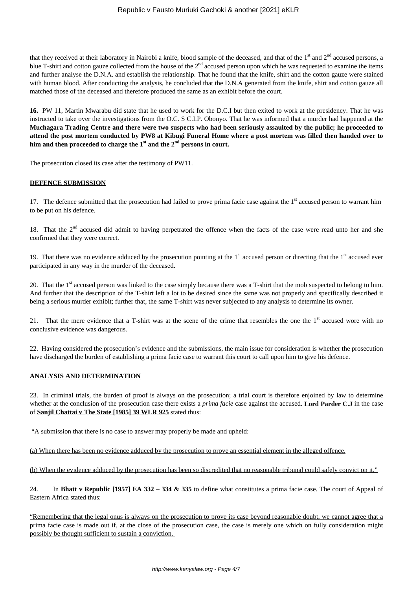that they received at their laboratory in Nairobi a knife, blood sample of the deceased, and that of the  $1<sup>st</sup>$  and  $2<sup>nd</sup>$  accused persons, a blue T-shirt and cotton gauze collected from the house of the  $2<sup>nd</sup>$  accused person upon which he was requested to examine the items and further analyse the D.N.A. and establish the relationship. That he found that the knife, shirt and the cotton gauze were stained with human blood. After conducting the analysis, he concluded that the D.N.A generated from the knife, shirt and cotton gauze all matched those of the deceased and therefore produced the same as an exhibit before the court.

**16.** PW 11, Martin Mwarabu did state that he used to work for the D.C.I but then exited to work at the presidency. That he was instructed to take over the investigations from the O.C. S C.I.P. Obonyo. That he was informed that a murder had happened at the **Muchagara Trading Centre and there were two suspects who had been seriously assaulted by the public; he proceeded to attend the post mortem conducted by PW8 at Kibugi Funeral Home where a post mortem was filled then handed over to him and then proceeded to charge the 1st and the 2nd persons in court.**

The prosecution closed its case after the testimony of PW11.

#### **DEFENCE SUBMISSION**

17. The defence submitted that the prosecution had failed to prove prima facie case against the 1<sup>st</sup> accused person to warrant him to be put on his defence.

18. That the 2<sup>nd</sup> accused did admit to having perpetrated the offence when the facts of the case were read unto her and she confirmed that they were correct.

19. That there was no evidence adduced by the prosecution pointing at the  $1<sup>st</sup>$  accused person or directing that the  $1<sup>st</sup>$  accused ever participated in any way in the murder of the deceased.

20. That the  $1<sup>st</sup>$  accused person was linked to the case simply because there was a T-shirt that the mob suspected to belong to him. And further that the description of the T-shirt left a lot to be desired since the same was not properly and specifically described it being a serious murder exhibit; further that, the same T-shirt was never subjected to any analysis to determine its owner.

21. That the mere evidence that a T-shirt was at the scene of the crime that resembles the one the 1<sup>st</sup> accused wore with no conclusive evidence was dangerous.

22. Having considered the prosecution's evidence and the submissions, the main issue for consideration is whether the prosecution have discharged the burden of establishing a prima facie case to warrant this court to call upon him to give his defence.

## **ANALYSIS AND DETERMINATION**

23. In criminal trials, the burden of proof is always on the prosecution; a trial court is therefore enjoined by law to determine whether at the conclusion of the prosecution case there exists a *prima facie* case against the accused. **Lord Parder C.J** in the case of **Sanjil Chattai v The State [1985] 39 WLR 925** stated thus:

"A submission that there is no case to answer may properly be made and upheld:

(a) When there has been no evidence adduced by the prosecution to prove an essential element in the alleged offence.

(b) When the evidence adduced by the prosecution has been so discredited that no reasonable tribunal could safely convict on it."

24. In **Bhatt v Republic [1957] EA 332 – 334 & 335** to define what constitutes a prima facie case. The court of Appeal of Eastern Africa stated thus:

"Remembering that the legal onus is always on the prosecution to prove its case beyond reasonable doubt, we cannot agree that a prima facie case is made out if, at the close of the prosecution case, the case is merely one which on fully consideration might possibly be thought sufficient to sustain a conviction.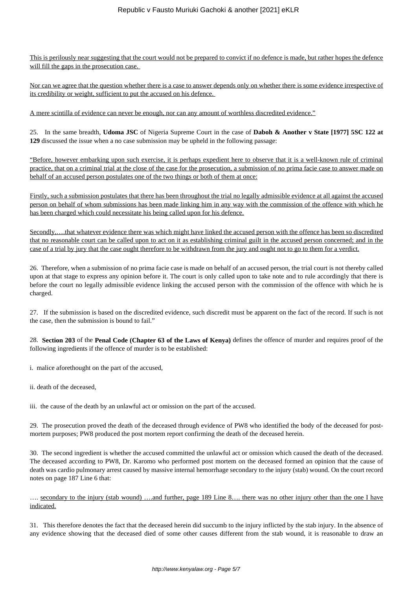This is perilously near suggesting that the court would not be prepared to convict if no defence is made, but rather hopes the defence will fill the gaps in the prosecution case.

Nor can we agree that the question whether there is a case to answer depends only on whether there is some evidence irrespective of its credibility or weight, sufficient to put the accused on his defence.

A mere scintilla of evidence can never be enough, nor can any amount of worthless discredited evidence."

25. In the same breadth, **Udoma JSC** of Nigeria Supreme Court in the case of **Daboh & Another v State [1977] 5SC 122 at 129** discussed the issue when a no case submission may be upheld in the following passage:

"Before, however embarking upon such exercise, it is perhaps expedient here to observe that it is a well-known rule of criminal practice, that on a criminal trial at the close of the case for the prosecution, a submission of no prima facie case to answer made on behalf of an accused person postulates one of the two things or both of them at once:

Firstly, such a submission postulates that there has been throughout the trial no legally admissible evidence at all against the accused person on behalf of whom submissions has been made linking him in any way with the commission of the offence with which he has been charged which could necessitate his being called upon for his defence.

Secondly,….that whatever evidence there was which might have linked the accused person with the offence has been so discredited that no reasonable court can be called upon to act on it as establishing criminal guilt in the accused person concerned; and in the case of a trial by jury that the case ought therefore to be withdrawn from the jury and ought not to go to them for a verdict.

26. Therefore, when a submission of no prima facie case is made on behalf of an accused person, the trial court is not thereby called upon at that stage to express any opinion before it. The court is only called upon to take note and to rule accordingly that there is before the court no legally admissible evidence linking the accused person with the commission of the offence with which he is charged.

27. If the submission is based on the discredited evidence, such discredit must be apparent on the fact of the record. If such is not the case, then the submission is bound to fail."

28. **Section 203** of the **Penal Code (Chapter 63 of the Laws of Kenya)** defines the offence of murder and requires proof of the following ingredients if the offence of murder is to be established:

i. malice aforethought on the part of the accused,

ii. death of the deceased,

iii. the cause of the death by an unlawful act or omission on the part of the accused.

29. The prosecution proved the death of the deceased through evidence of PW8 who identified the body of the deceased for postmortem purposes; PW8 produced the post mortem report confirming the death of the deceased herein.

30. The second ingredient is whether the accused committed the unlawful act or omission which caused the death of the deceased. The deceased according to PW8, Dr. Karomo who performed post mortem on the deceased formed an opinion that the cause of death was cardio pulmonary arrest caused by massive internal hemorrhage secondary to the injury (stab) wound. On the court record notes on page 187 Line 6 that:

…. secondary to the injury (stab wound) ….and further, page 189 Line 8…. there was no other injury other than the one I have indicated.

31. This therefore denotes the fact that the deceased herein did succumb to the injury inflicted by the stab injury. In the absence of any evidence showing that the deceased died of some other causes different from the stab wound, it is reasonable to draw an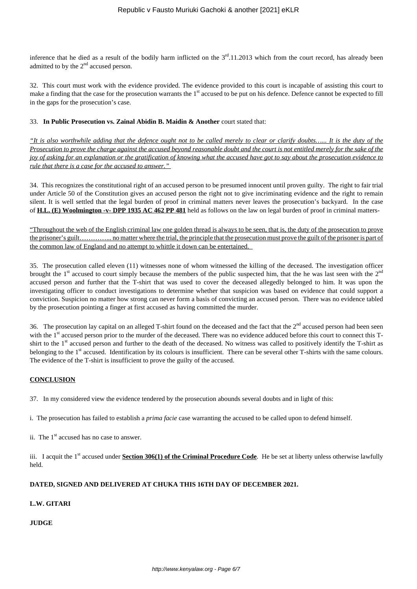inference that he died as a result of the bodily harm inflicted on the  $3<sup>rd</sup>$ .11.2013 which from the court record, has already been admitted to by the  $2<sup>nd</sup>$  accused person.

32. This court must work with the evidence provided. The evidence provided to this court is incapable of assisting this court to make a finding that the case for the prosecution warrants the 1<sup>st</sup> accused to be put on his defence. Defence cannot be expected to fill in the gaps for the prosecution's case.

## 33. **In Public Prosecution vs. Zainal Abidin B. Maidin & Another** court stated that:

*"It is also worthwhile adding that the defence ought not to be called merely to clear or clarify doubts…... It is the duty of the Prosecution to prove the charge against the accused beyond reasonable doubt and the court is not entitled merely for the sake of the joy of asking for an explanation or the gratification of knowing what the accused have got to say about the prosecution evidence to rule that there is a case for the accused to answer."*

34. This recognizes the constitutional right of an accused person to be presumed innocent until proven guilty. The right to fair trial under Article 50 of the Constitution gives an accused person the right not to give incriminating evidence and the right to remain silent. It is well settled that the legal burden of proof in criminal matters never leaves the prosecution's backyard. In the case of **H.L. (E) Woolmington -v- DPP 1935 AC 462 PP 481** held as follows on the law on legal burden of proof in criminal matters-

"Throughout the web of the English criminal law one golden thread is always to be seen, that is, the duty of the prosecution to prove the prisoner's guilt…………... no matter where the trial, the principle that the prosecution must prove the guilt of the prisoner is part of the common law of England and no attempt to whittle it down can be entertained.

35. The prosecution called eleven (11) witnesses none of whom witnessed the killing of the deceased. The investigation officer brought the  $1<sup>st</sup>$  accused to court simply because the members of the public suspected him, that the he was last seen with the  $2<sup>nd</sup>$ accused person and further that the T-shirt that was used to cover the deceased allegedly belonged to him. It was upon the investigating officer to conduct investigations to determine whether that suspicion was based on evidence that could support a conviction. Suspicion no matter how strong can never form a basis of convicting an accused person. There was no evidence tabled by the prosecution pointing a finger at first accused as having committed the murder.

36. The prosecution lay capital on an alleged T-shirt found on the deceased and the fact that the  $2<sup>nd</sup>$  accused person had been seen with the 1<sup>st</sup> accused person prior to the murder of the deceased. There was no evidence adduced before this court to connect this Tshirt to the 1<sup>st</sup> accused person and further to the death of the deceased. No witness was called to positively identify the T-shirt as belonging to the 1<sup>st</sup> accused. Identification by its colours is insufficient. There can be several other T-shirts with the same colours. The evidence of the T-shirt is insufficient to prove the guilty of the accused.

## **CONCLUSION**

37. In my considered view the evidence tendered by the prosecution abounds several doubts and in light of this:

i. The prosecution has failed to establish a *prima facie* case warranting the accused to be called upon to defend himself.

ii. The  $1<sup>st</sup>$  accused has no case to answer.

iii. I acquit the 1<sup>st</sup> accused under **Section 306(1) of the Criminal Procedure Code**. He be set at liberty unless otherwise lawfully held.

## **DATED, SIGNED AND DELIVERED AT CHUKA THIS 16TH DAY OF DECEMBER 2021.**

## **L.W. GITARI**

## **JUDGE**